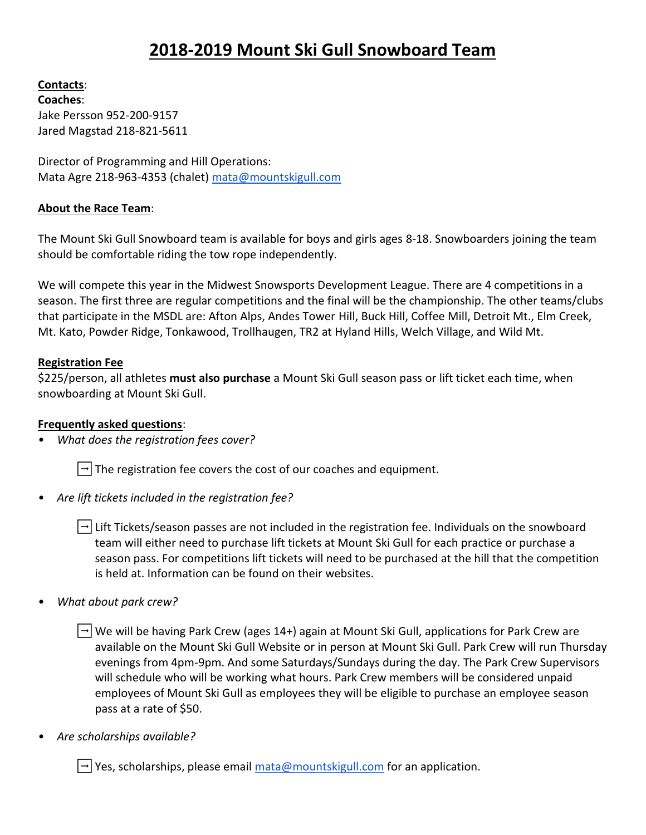# **2018-2019 Mount Ski Gull Snowboard Team**

**Contacts**:

**Coaches**: Jake Persson 952-200-9157 Jared Magstad 218-821-5611

Director of Programming and Hill Operations: Mata Agre 218-963-4353 (chalet[\) mata@mountskigull.com](mailto:mata@mountskigull.com)

# **About the Race Team**:

The Mount Ski Gull Snowboard team is available for boys and girls ages 8-18. Snowboarders joining the team should be comfortable riding the tow rope independently.

We will compete this year in the Midwest Snowsports Development League. There are 4 competitions in a season. The first three are regular competitions and the final will be the championship. The other teams/clubs that participate in the MSDL are: Afton Alps, Andes Tower Hill, Buck Hill, Coffee Mill, Detroit Mt., Elm Creek, Mt. Kato, Powder Ridge, Tonkawood, Trollhaugen, TR2 at Hyland Hills, Welch Village, and Wild Mt.

### **Registration Fee**

\$225/person, all athletes **must also purchase** a Mount Ski Gull season pass or lift ticket each time, when snowboarding at Mount Ski Gull.

# **Frequently asked questions**:

*• What does the registration fees cover?* 

 $\left| \rightarrow \right|$  The registration fee covers the cost of our coaches and equipment.

*• Are lift tickets included in the registration fee?* 

 $\left| \rightarrow \right|$  Lift Tickets/season passes are not included in the registration fee. Individuals on the snowboard team will either need to purchase lift tickets at Mount Ski Gull for each practice or purchase a season pass. For competitions lift tickets will need to be purchased at the hill that the competition is held at. Information can be found on their websites.

*• What about park crew?*

|→|We will be having Park Crew (ages 14+) again at Mount Ski Gull, applications for Park Crew are available on the Mount Ski Gull Website or in person at Mount Ski Gull. Park Crew will run Thursday evenings from 4pm-9pm. And some Saturdays/Sundays during the day. The Park Crew Supervisors will schedule who will be working what hours. Park Crew members will be considered unpaid employees of Mount Ski Gull as employees they will be eligible to purchase an employee season pass at a rate of \$50.

*• Are scholarships available?*

 $\rightarrow$  Yes, scholarships, please email  $\frac{\text{mata@mountskigull.com}}{\text{moments}}$  for an application.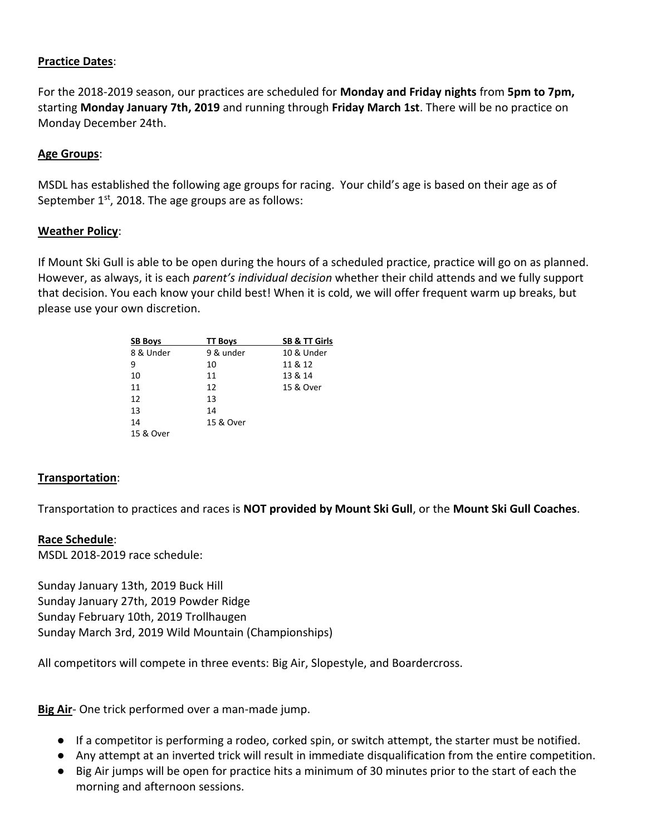### **Practice Dates**:

For the 2018-2019 season, our practices are scheduled for **Monday and Friday nights** from **5pm to 7pm,** starting **Monday January 7th, 2019** and running through **Friday March 1st**. There will be no practice on Monday December 24th.

### **Age Groups**:

MSDL has established the following age groups for racing. Your child's age is based on their age as of September  $1<sup>st</sup>$ , 2018. The age groups are as follows:

#### **Weather Policy**:

If Mount Ski Gull is able to be open during the hours of a scheduled practice, practice will go on as planned. However, as always, it is each *parent's individual decision* whether their child attends and we fully support that decision. You each know your child best! When it is cold, we will offer frequent warm up breaks, but please use your own discretion.

| <b>SB Boys</b> | <b>TT Boys</b> | <b>SB &amp; TT Girls</b> |
|----------------|----------------|--------------------------|
| 8 & Under      | 9 & under      | 10 & Under               |
| 9              | 10             | 11 & 12                  |
| 10             | 11             | 13 & 14                  |
| 11             | 12             | 15 & Over                |
| 12             | 13             |                          |
| 13             | 14             |                          |
| 14             | 15 & Over      |                          |
| 15 & Over      |                |                          |

#### **Transportation**:

Transportation to practices and races is **NOT provided by Mount Ski Gull**, or the **Mount Ski Gull Coaches**.

#### **Race Schedule**:

MSDL 2018-2019 race schedule:

Sunday January 13th, 2019 Buck Hill Sunday January 27th, 2019 Powder Ridge Sunday February 10th, 2019 Trollhaugen Sunday March 3rd, 2019 Wild Mountain (Championships)

All competitors will compete in three events: Big Air, Slopestyle, and Boardercross.

**Big Air**- One trick performed over a man-made jump.

- If a competitor is performing a rodeo, corked spin, or switch attempt, the starter must be notified.
- Any attempt at an inverted trick will result in immediate disqualification from the entire competition.
- Big Air jumps will be open for practice hits a minimum of 30 minutes prior to the start of each the morning and afternoon sessions.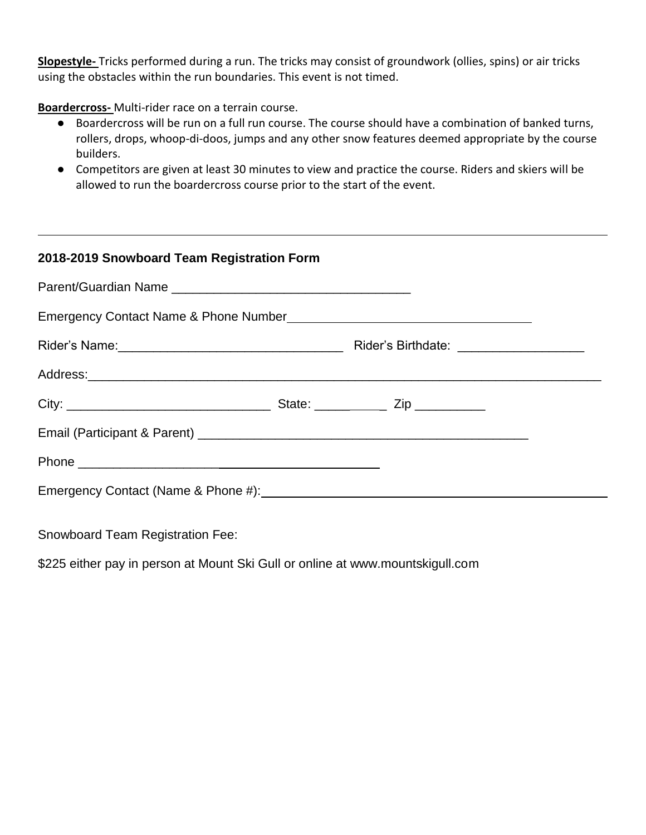**Slopestyle-** Tricks performed during a run. The tricks may consist of groundwork (ollies, spins) or air tricks using the obstacles within the run boundaries. This event is not timed.

**Boardercross-** Multi-rider race on a terrain course.

- Boardercross will be run on a full run course. The course should have a combination of banked turns, rollers, drops, whoop-di-doos, jumps and any other snow features deemed appropriate by the course builders.
- Competitors are given at least 30 minutes to view and practice the course. Riders and skiers will be allowed to run the boardercross course prior to the start of the event.

| 2018-2019 Snowboard Team Registration Form |  |  |
|--------------------------------------------|--|--|
|                                            |  |  |
|                                            |  |  |
|                                            |  |  |
|                                            |  |  |
|                                            |  |  |
|                                            |  |  |
|                                            |  |  |
|                                            |  |  |

Snowboard Team Registration Fee:

\$225 either pay in person at Mount Ski Gull or online at www.mountskigull.com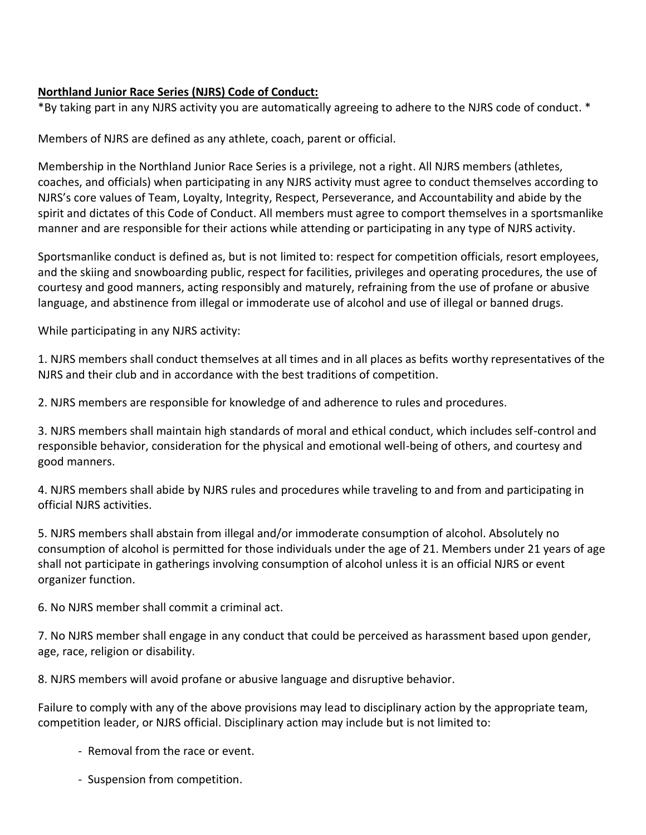# **Northland Junior Race Series (NJRS) Code of Conduct:**

\*By taking part in any NJRS activity you are automatically agreeing to adhere to the NJRS code of conduct. \*

Members of NJRS are defined as any athlete, coach, parent or official.

Membership in the Northland Junior Race Series is a privilege, not a right. All NJRS members (athletes, coaches, and officials) when participating in any NJRS activity must agree to conduct themselves according to NJRS's core values of Team, Loyalty, Integrity, Respect, Perseverance, and Accountability and abide by the spirit and dictates of this Code of Conduct. All members must agree to comport themselves in a sportsmanlike manner and are responsible for their actions while attending or participating in any type of NJRS activity.

Sportsmanlike conduct is defined as, but is not limited to: respect for competition officials, resort employees, and the skiing and snowboarding public, respect for facilities, privileges and operating procedures, the use of courtesy and good manners, acting responsibly and maturely, refraining from the use of profane or abusive language, and abstinence from illegal or immoderate use of alcohol and use of illegal or banned drugs.

While participating in any NJRS activity:

1. NJRS members shall conduct themselves at all times and in all places as befits worthy representatives of the NJRS and their club and in accordance with the best traditions of competition.

2. NJRS members are responsible for knowledge of and adherence to rules and procedures.

3. NJRS members shall maintain high standards of moral and ethical conduct, which includes self-control and responsible behavior, consideration for the physical and emotional well-being of others, and courtesy and good manners.

4. NJRS members shall abide by NJRS rules and procedures while traveling to and from and participating in official NJRS activities.

5. NJRS members shall abstain from illegal and/or immoderate consumption of alcohol. Absolutely no consumption of alcohol is permitted for those individuals under the age of 21. Members under 21 years of age shall not participate in gatherings involving consumption of alcohol unless it is an official NJRS or event organizer function.

6. No NJRS member shall commit a criminal act.

7. No NJRS member shall engage in any conduct that could be perceived as harassment based upon gender, age, race, religion or disability.

8. NJRS members will avoid profane or abusive language and disruptive behavior.

Failure to comply with any of the above provisions may lead to disciplinary action by the appropriate team, competition leader, or NJRS official. Disciplinary action may include but is not limited to:

- Removal from the race or event.
- Suspension from competition.